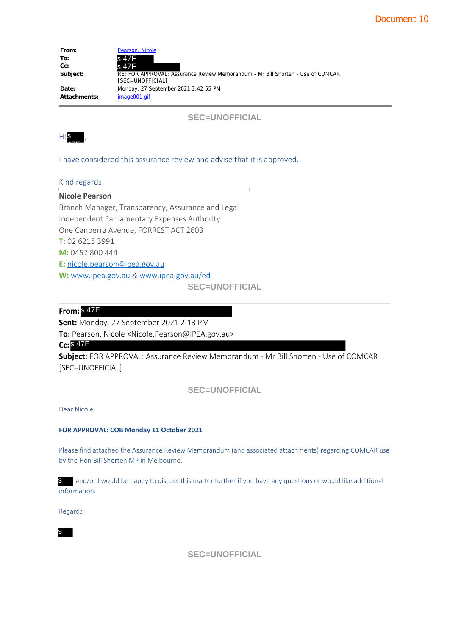| From:        | Pearson, Nicole                                                                                     |
|--------------|-----------------------------------------------------------------------------------------------------|
| To:          | s 47F                                                                                               |
| $Cc$ :       | s 47F                                                                                               |
| Subject:     | RE: FOR APPROVAL: Assurance Review Memorandum - Mr Bill Shorten - Use of COMCAR<br>[SEC=UNOFFICIAL] |
| Date:        | Monday, 27 September 2021 3:42:55 PM                                                                |
| Attachments: | image001.gif                                                                                        |



I have considered this assurance review and advise that it is approved.

## Kind regards

| To:<br>Cc:<br>Subject:                   | s 47F<br>s 47F<br>[SEC=UNOFFICIAL] | RE: FOR APPROVAL: Assurance Review Memorandum - Mr                            |
|------------------------------------------|------------------------------------|-------------------------------------------------------------------------------|
| Date:<br><b>Attachments:</b>             | image001.gif                       | Monday, 27 September 2021 3:42:55 PM                                          |
|                                          |                                    | <b>SEC=UNOFFICIAL</b>                                                         |
| HiS,                                     |                                    |                                                                               |
|                                          |                                    | I have considered this assurance review and advise that it is                 |
| Kind regards                             |                                    |                                                                               |
| <b>Nicole Pearson</b>                    |                                    |                                                                               |
|                                          |                                    | Branch Manager, Transparency, Assurance and Legal                             |
|                                          |                                    | Independent Parliamentary Expenses Authority                                  |
| One Canberra Avenue, FORREST ACT 2603    |                                    |                                                                               |
| T: 02 6215 3991                          |                                    |                                                                               |
| M: 0457 800 444                          |                                    |                                                                               |
| E: nicole.pearson@ipea.gov.au            |                                    |                                                                               |
|                                          |                                    | W: www.ipea.gov.au & www.ipea.gov.au/ed                                       |
|                                          |                                    | <b>SEC=UNOFFICIAL</b>                                                         |
| From: $847F$                             |                                    |                                                                               |
| Sent: Monday, 27 September 2021 2:13 PM  |                                    |                                                                               |
|                                          |                                    | To: Pearson, Nicole <nicole.pearson@ipea.gov.au></nicole.pearson@ipea.gov.au> |
| $Cc:$ $8$ $47F$                          |                                    |                                                                               |
|                                          |                                    | Subject: FOR APPROVAL: Assurance Review Memorandum -                          |
| [SEC=UNOFFICIAL]                         |                                    |                                                                               |
|                                          |                                    | <b>SEC=UNOFFICIAL</b>                                                         |
| Dear Nicole                              |                                    |                                                                               |
| FOR APPROVAL: COB Monday 11 October 2021 |                                    |                                                                               |
| by the Hon Bill Shorten MP in Melbourne. |                                    | Please find attached the Assurance Review Memorandum (and associ              |
| S in<br>information.                     |                                    | and/or I would be happy to discuss this matter further if you hat             |
| Regards                                  |                                    |                                                                               |
| s                                        |                                    |                                                                               |

**Subject:** FOR APPROVAL: Assurance Review Memorandum - Mr Bill Shorten - Use of COMCAR [SEC=UNOFFICIAL]

## Dear Nicole

#### **FOR APPROVAL: COB Monday 11 October 2021**

Please find attached the Assurance Review Memorandum (and associated attachments) regarding COMCAR use by the Hon Bill Shorten MP in Melbourne.

s and/or I would be happy to discuss this matter further if you have any questions or would like additional information.

**SEC=UNOFFICIAL**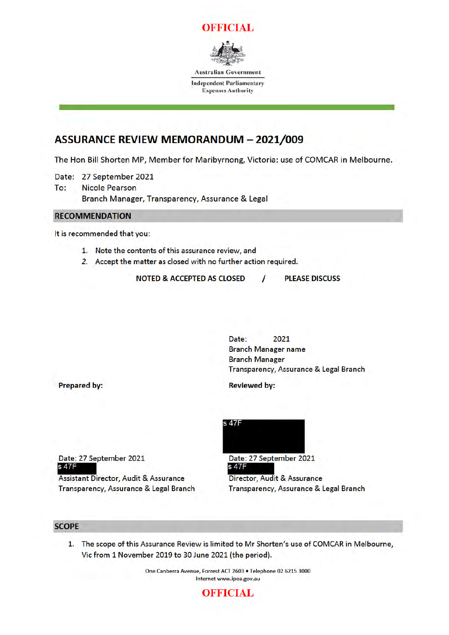



**Australian Government** 

**Independent Parliamentary Expenses Authority** 

# **ASSURANCE REVIEW MEMORANDUM - 2021/009**

The Hon Bill Shorten MP, Member for Maribyrnong, Victoria: use of COMCAR in Melbourne.

Date: 27 September 2021

To: **Nicole Pearson** Branch Manager, Transparency, Assurance & Legal

## **RECOMMENDATION**

It is recommended that you:

- 1. Note the contents of this assurance review, and
- 2. Accept the matter as closed with no further action required.

**NOTED & ACCEPTED AS CLOSED** 

**PLEASE DISCUSS** 

2021 Date: **Branch Manager name Branch Manager** Transparency, Assurance & Legal Branch

**Reviewed by:** 

 $\prime$ 

**Prepared by:** 

Date: 27 September 2021 s 47F

**Assistant Director, Audit & Assurance** Transparency, Assurance & Legal Branch



Date: 27 September 2021 s 47F

Director, Audit & Assurance Transparency, Assurance & Legal Branch

#### **SCOPE**

1. The scope of this Assurance Review is limited to Mr Shorten's use of COMCAR in Melbourne, Vic from 1 November 2019 to 30 June 2021 (the period).

> One Canberra Avenue, Forrest ACT 2603 · Telephone 02 6215 3000 Internet www.ipea.gov.au

## **OFFICIAL**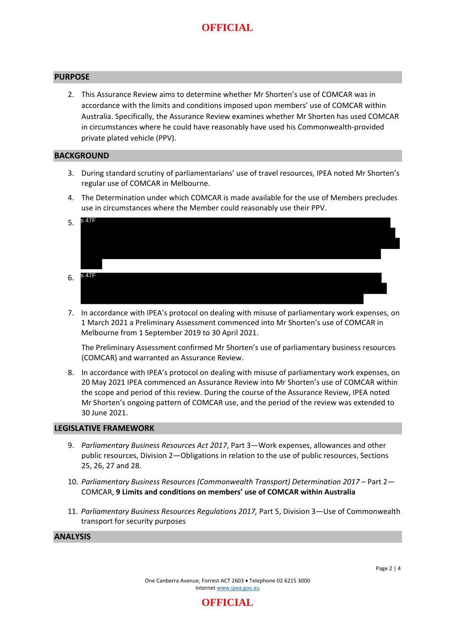# **OFFICIAL**

#### **PURPOSE**

2. This Assurance Review aims to determine whether Mr Shorten's use of COMCAR was in accordance with the limits and conditions imposed upon members' use of COMCAR within Australia. Specifically, the Assurance Review examines whether Mr Shorten has used COMCAR in circumstances where he could have reasonably have used his Commonwealth-provided private plated vehicle (PPV).

#### **BACKGROUND**

- 3. During standard scrutiny of parliamentarians' use of travel resources, IPEA noted Mr Shorten's regular use of COMCAR in Melbourne.
- 4. The Determination under which COMCAR is made available for the use of Members precludes use in circumstances where the Member could reasonably use their PPV.
- 5. 6. s 47F s 47F
- 7. In accordance with IPEA's protocol on dealing with misuse of parliamentary work expenses, on 1 March 2021 a Preliminary Assessment commenced into Mr Shorten's use of COMCAR in Melbourne from 1 September 2019 to 30 April 2021.

The Preliminary Assessment confirmed Mr Shorten's use of parliamentary business resources (COMCAR) and warranted an Assurance Review.

8. In accordance with IPEA's protocol on dealing with misuse of parliamentary work expenses, on 20 May 2021 IPEA commenced an Assurance Review into Mr Shorten's use of COMCAR within the scope and period of this review. During the course of the Assurance Review, IPEA noted Mr Shorten's ongoing pattern of COMCAR use, and the period of the review was extended to 30 June 2021.

#### **LEGISLATIVE FRAMEWORK**

- 9. *Parliamentary Business Resources Act 2017*, Part 3—Work expenses, allowances and other public resources, Division 2—Obligations in relation to the use of public resources, Sections 25, 26, 27 and 28.
- 10. *Parliamentary Business Resources (Commonwealth Transport) Determination 2017* Part 2— COMCAR, **9 Limits and conditions on members' use of COMCAR within Australia**
- 11. *Parliamentary Business Resources Regulations 2017,* Part 5, Division 3—Use of Commonwealth transport for security purposes

### **ANALYSIS**

**OFFICIAL**

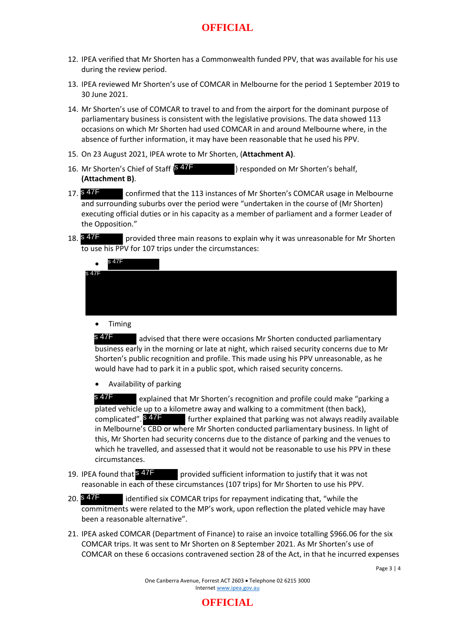# **OFFICIAL**

- 12. IPEA verified that Mr Shorten has a Commonwealth funded PPV, that was available for his use during the review period.
- 13. IPEA reviewed Mr Shorten's use of COMCAR in Melbourne for the period 1 September 2019 to 30 June 2021.
- 14. Mr Shorten's use of COMCAR to travel to and from the airport for the dominant purpose of parliamentary business is consistent with the legislative provisions. The data showed 113 occasions on which Mr Shorten had used COMCAR in and around Melbourne where, in the absence of further information, it may have been reasonable that he used his PPV.
- 15. On 23 August 2021, IPEA wrote to Mr Shorten, (**Attachment A)**.
- 16. Mr Shorten's Chief of Staff  $\frac{647F}{\sqrt{2}}$  ) responded on Mr Shorten's behalf, **(Attachment B)**.
- confirmed that the 113 instances of Mr Shorten's COMCAR usage in Melbourne and surrounding suburbs over the period were "undertaken in the course of (Mr Shorten) executing official duties or in his capacity as a member of parliament and a former Leader of the Opposition." s 47F
- 18. **18. PET 18. provided three main reasons to explain why it was unreasonable for Mr Shorten** to use his PPV for 107 trips under the circumstances:

| s 47F                                                    | provided three main reasons to explain why it was unreasonable for Mr Shorten                                                                                                                                                                                                                                                                                                                                                                                                                                 |
|----------------------------------------------------------|---------------------------------------------------------------------------------------------------------------------------------------------------------------------------------------------------------------------------------------------------------------------------------------------------------------------------------------------------------------------------------------------------------------------------------------------------------------------------------------------------------------|
|                                                          | to use his PPV for 107 trips under the circumstances:                                                                                                                                                                                                                                                                                                                                                                                                                                                         |
| s 47F                                                    |                                                                                                                                                                                                                                                                                                                                                                                                                                                                                                               |
| s 47F                                                    |                                                                                                                                                                                                                                                                                                                                                                                                                                                                                                               |
| <b>Timing</b>                                            |                                                                                                                                                                                                                                                                                                                                                                                                                                                                                                               |
| s 47F                                                    | advised that there were occasions Mr Shorten conducted parliamentary<br>business early in the morning or late at night, which raised security concerns due to Mr<br>Shorten's public recognition and profile. This made using his PPV unreasonable, as he<br>would have had to park it in a public spot, which raised security concerns.                                                                                                                                                                      |
|                                                          | Availability of parking                                                                                                                                                                                                                                                                                                                                                                                                                                                                                       |
| s 47F<br>complicated". S <sup>47</sup><br>circumstances. | explained that Mr Shorten's recognition and profile could make "parking a<br>plated vehicle up to a kilometre away and walking to a commitment (then back),<br>further explained that parking was not always readily available<br>in Melbourne's CBD or where Mr Shorten conducted parliamentary business. In light of<br>this, Mr Shorten had security concerns due to the distance of parking and the venues to<br>which he travelled, and assessed that it would not be reasonable to use his PPV in these |
| IPEA found that S47F                                     | provided sufficient information to justify that it was not<br>reasonable in each of these circumstances (107 trips) for Mr Shorten to use his PPV.                                                                                                                                                                                                                                                                                                                                                            |
| s 47F                                                    | identified six COMCAR trips for repayment indicating that, "while the                                                                                                                                                                                                                                                                                                                                                                                                                                         |

- provided sufficient information to justify that it was not reasonable in each of these circumstances (107 trips) for Mr Shorten to use his PPV. 19. IPEA found that S<sup>47F</sup>
- 20. **SATE** identified six COMCAR trips for repayment indicating that, "while the commitments were related to the MP's work, upon reflection the plated vehicle may have been a reasonable alternative".
- 21. IPEA asked COMCAR (Department of Finance) to raise an invoice totalling \$966.06 for the six COMCAR trips. It was sent to Mr Shorten on 8 September 2021. As Mr Shorten's use of COMCAR on these 6 occasions contravened section 28 of the Act, in that he incurred expenses

One Canberra Avenue, Forrest ACT 2603 • Telephone 02 6215 3000 Internet www.ipea.gov.au

Page 3 | 4

## **OFFICIAL**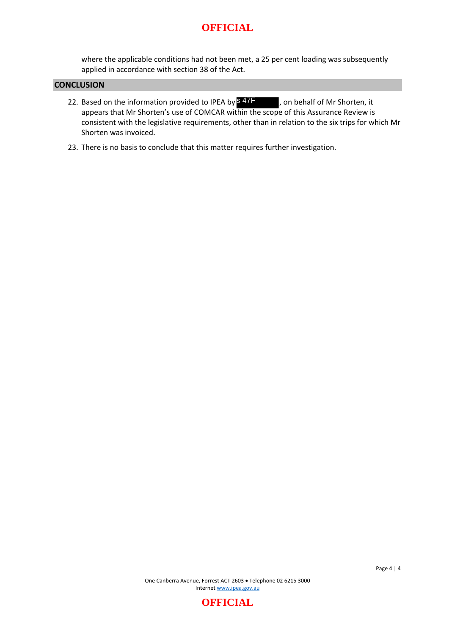## **OFFICIAL**

where the applicable conditions had not been met, a 25 per cent loading was subsequently applied in accordance with section 38 of the Act.

#### **CONCLUSION**

- 22. Based on the information provided to IPEA by  $\overline{\phantom{1}}^{\mathbf{S}}$  47F , on behalf of Mr Shorten, it appears that Mr Shorten's use of COMCAR within the scope of this Assurance Review is consistent with the legislative requirements, other than in relation to the six trips for which Mr Shorten was invoiced.
- 23. There is no basis to conclude that this matter requires further investigation.

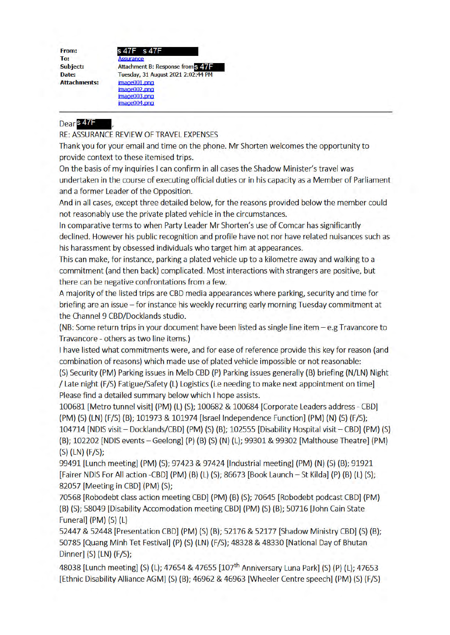From: To: **Subject:** Date: **Attachments:** 

s 47F Attachment B: Response from S 47 Tuesday, 31 August 2021 2:02:44 PM image001.png  $imaae002$ .pno image003.png image004.png

## Dear<sup>s 47</sup>F

RE: ASSURANCE REVIEW OF TRAVEL EXPENSES

Thank you for your email and time on the phone. Mr Shorten welcomes the opportunity to provide context to these itemised trips.

On the basis of my inquiries I can confirm in all cases the Shadow Minister's travel was undertaken in the course of executing official duties or in his capacity as a Member of Parliament and a former Leader of the Opposition.

And in all cases, except three detailed below, for the reasons provided below the member could not reasonably use the private plated vehicle in the circumstances.

In comparative terms to when Party Leader Mr Shorten's use of Comcar has significantly declined. However his public recognition and profile have not nor have related nuisances such as his harassment by obsessed individuals who target him at appearances.

This can make, for instance, parking a plated vehicle up to a kilometre away and walking to a commitment (and then back) complicated. Most interactions with strangers are positive, but there can be negative confrontations from a few.

A majority of the listed trips are CBD media appearances where parking, security and time for briefing are an issue - for instance his weekly recurring early morning Tuesday commitment at the Channel 9 CBD/Docklands studio.

(NB: Some return trips in your document have been listed as single line item  $-e.g.$  Travancore to Travancore - others as two line items.)

I have listed what commitments were, and for ease of reference provide this key for reason (and combination of reasons) which made use of plated vehicle impossible or not reasonable:

(S) Security (PM) Parking issues in Melb CBD (P) Parking issues generally (B) briefing (N/LN) Night / Late night (F/S) Fatigue/Safety (L) Logistics (i.e needing to make next appointment on time] Please find a detailed summary below which I hope assists.

100681 [Metro tunnel visit] (PM) (L) (S); 100682 & 100684 [Corporate Leaders address - CBD] (PM) (S) (LN) (F/S) (B); 101973 & 101974 [Israel Independence Function] (PM) (N) (S) (F/S); 104714 [NDIS visit – Docklands/CBD] (PM) (S) (B); 102555 [Disability Hospital visit – CBD] (PM) (S) (B); 102202 [NDIS events - Geelong] (P) (B) (S) (N) (L); 99301 & 99302 [Malthouse Theatre] (PM)  $(S)$  (LN)  $(F/S)$ ;

99491 [Lunch meeting] (PM) (S); 97423 & 97424 [Industrial meeting] (PM) (N) (S) (B); 91921 [Fairer NDIS For All action -CBD] (PM) (B) (L) (S); 86673 [Book Launch – St Kilda] (P) (B) (L) (S); 82057 [Meeting in CBD] (PM) (S);

70568 [Robodebt class action meeting CBD] (PM) (B) (S); 70645 [Robodebt podcast CBD] (PM) (B) (S); 58049 [Disability Accomodation meeting CBD] (PM) (S) (B); 50716 [John Cain State Funeral] (PM) (S) (L)

52447 & 52448 [Presentation CBD] (PM) (S) (B); 52176 & 52177 [Shadow Ministry CBD] (S) (B); 50785 [Quang Minh Tet Festival] (P) (S) (LN) (F/S); 48328 & 48330 [National Day of Bhutan Dinner] (S) (LN) (F/S);

48038 [Lunch meeting] (S) (L); 47654 & 47655 [107<sup>th</sup> Anniversary Luna Park] (S) (P) (L); 47653 [Ethnic Disability Alliance AGM] (S) (B); 46962 & 46963 [Wheeler Centre speech] (PM) (S) (F/S)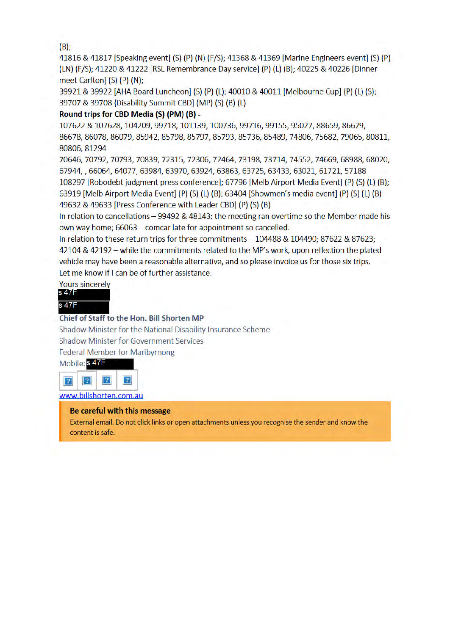$(B)$ :

41816 & 41817 [Speaking event] (S) (P) (N) (F/S); 41368 & 41369 [Marine Engineers event] (S) (P) (LN) (F/S); 41220 & 41222 [RSL Remembrance Day service] (P) (L) (B); 40225 & 40226 [Dinner meet Carlton] (S) (P) (N):

39921 & 39922 [AHA Board Luncheon] (S) (P) (L); 40010 & 40011 [Melbourne Cup] (P) (L) (S); 39707 & 39708 {Disability Summit CBD] (MP) (S) (B) (L)

## Round trips for CBD Media (S) (PM) (B) -

107622 & 107628, 104209, 99718, 101139, 100736, 99716, 99155, 95027, 88659, 86679, 86678, 86078, 86079, 85942, 85798, 85797, 85793, 85736, 85489, 74806, 75682, 79065, 80811, 80806, 81294

70646, 70792, 70793, 70839, 72315, 72306, 72464, 73198, 73714, 74552, 74669, 68988, 68020, 67944, , 66064, 64077, 63984, 63970, 63924, 63863, 63725, 63433, 63021, 61721, 57188 108297 [Robodebt judgment press conference]; 67796 [Melb Airport Media Event] (P) (S) (L) (B); 63919 [Melb Airport Media Event] (P) (S) (L) (B); 63404 [Showmen's media event] (P) (S) (L) (B) 49632 & 49633 [Press Conference with Leader CBD] (P) (S) (B)

In relation to cancellations - 99492 & 48143: the meeting ran overtime so the Member made his own way home; 66063 - comcar late for appointment so cancelled.

In relation to these return trips for three commitments - 104488 & 104490; 87622 & 87623; 42104 & 42192 - while the commitments related to the MP's work, upon reflection the plated vehicle may have been a reasonable alternative, and so please invoice us for those six trips. Let me know if I can be of further assistance.

**Yours sincerely** 



## Chief of Staff to the Hon. Bill Shorten MP

Shadow Minister for the National Disability Insurance Scheme **Shadow Minister for Government Services** 

**Federal Member for Maribyrnong** 

Mobile: S 47F



www.billshorten.com.au

## Be careful with this message

External email. Do not click links or open attachments unless you recognise the sender and know the content is safe.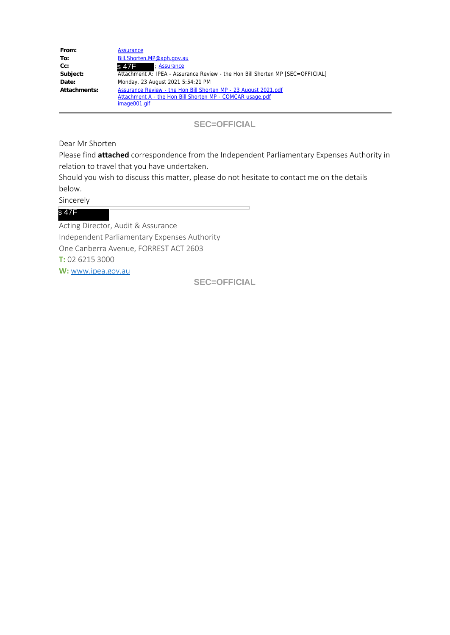| From:        | <b>Assurance</b>                                                               |
|--------------|--------------------------------------------------------------------------------|
| To:          | Bill.Shorten.MP@aph.gov.au                                                     |
| Cc:          | : Assurance<br>s 47F = 11                                                      |
| Subject:     | Attachment A: IPEA - Assurance Review - the Hon Bill Shorten MP [SEC=OFFICIAL] |
| Date:        | Monday, 23 August 2021 5:54:21 PM                                              |
| Attachments: | Assurance Review - the Hon Bill Shorten MP - 23 August 2021.pdf                |
|              | Attachment A - the Hon Bill Shorten MP - COMCAR usage.pdf                      |
|              | image001.gif                                                                   |

**SEC=OFFICIAL**

Dear Mr Shorten

Please find **attached** correspondence from the Independent Parliamentary Expenses Authority in relation to travel that you have undertaken.

Should you wish to discuss this matter, please do not hesitate to contact me on the details below.

Sincerely

## s 47F

Acting Director, Audit & Assurance Independent Parliamentary Expenses Authority One Canberra Avenue, FORREST ACT 2603 **T:** 02 6215 3000 **W:** www.ipea.gov.au

**SEC=OFFICIAL**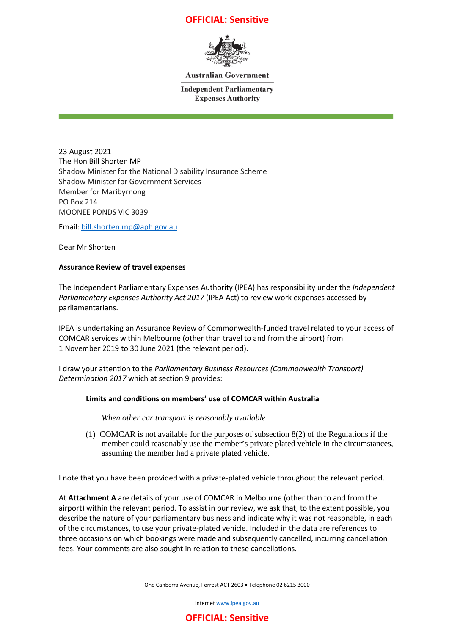## **OFFICIAL: Sensitive**



**Australian Government** 

**Independent Parliamentary Expenses Authority** 

23 August 2021 The Hon Bill Shorten MP Shadow Minister for the National Disability Insurance Scheme Shadow Minister for Government Services Member for Maribyrnong PO Box 214 MOONEE PONDS VIC 3039

Email: bill.shorten.mp@aph.gov.au

Dear Mr Shorten

#### **Assurance Review of travel expenses**

The Independent Parliamentary Expenses Authority (IPEA) has responsibility under the *Independent Parliamentary Expenses Authority Act 2017* (IPEA Act) to review work expenses accessed by parliamentarians.

IPEA is undertaking an Assurance Review of Commonwealth-funded travel related to your access of COMCAR services within Melbourne (other than travel to and from the airport) from 1 November 2019 to 30 June 2021 (the relevant period).

I draw your attention to the *Parliamentary Business Resources (Commonwealth Transport) Determination 2017* which at section 9 provides:

#### **Limits and conditions on members' use of COMCAR within Australia**

*When other car transport is reasonably available* 

 (1) COMCAR is not available for the purposes of subsection 8(2) of the Regulations if the member could reasonably use the member's private plated vehicle in the circumstances, assuming the member had a private plated vehicle.

I note that you have been provided with a private-plated vehicle throughout the relevant period.

At **Attachment A** are details of your use of COMCAR in Melbourne (other than to and from the airport) within the relevant period. To assist in our review, we ask that, to the extent possible, you describe the nature of your parliamentary business and indicate why it was not reasonable, in each of the circumstances, to use your private-plated vehicle. Included in the data are references to three occasions on which bookings were made and subsequently cancelled, incurring cancellation fees. Your comments are also sought in relation to these cancellations.

One Canberra Avenue, Forrest ACT 2603 • Telephone 02 6215 3000

Internet www.ipea.gov.au

## **OFFICIAL: Sensitive**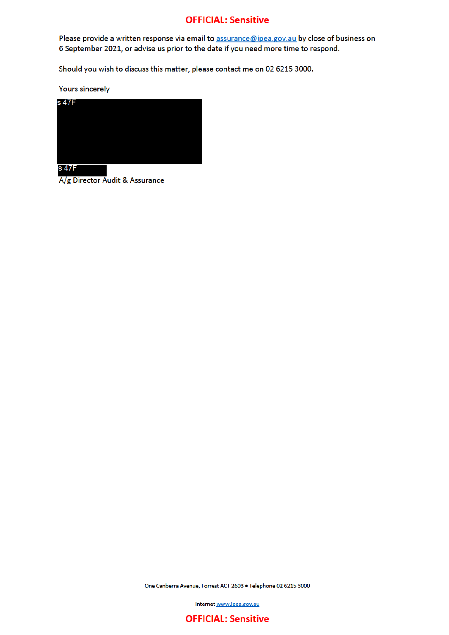## **OFFICIAL: Sensitive**

Please provide a written response via email to assurance@ipea.gov.au by close of business on 6 September 2021, or advise us prior to the date if you need more time to respond.

Should you wish to discuss this matter, please contact me on 02 6215 3000.

**Yours sincerely** 



s 47F

A/g Director Audit & Assurance

One Canberra Avenue, Forrest ACT 2603 . Telephone 02 6215 3000

Internet www.ipea.gov.au

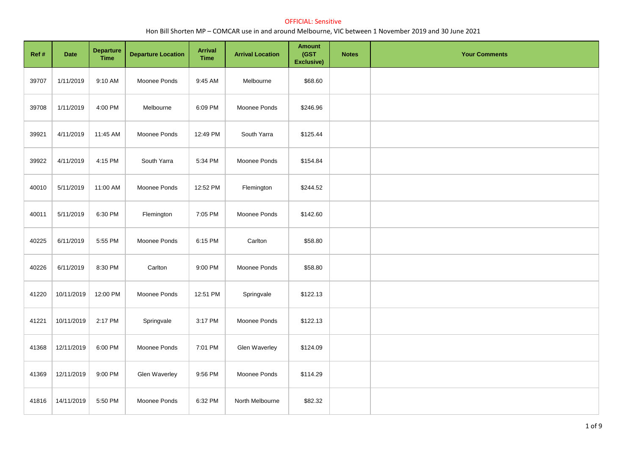| Ref # | Date       | <b>Departure</b><br><b>Time</b> | <b>Departure Location</b> | <b>Arrival</b><br><b>Time</b> | <b>Arrival Location</b> | <b>Amount</b><br>(GST<br><b>Exclusive)</b> | <b>Notes</b> | <b>Your Comments</b> |
|-------|------------|---------------------------------|---------------------------|-------------------------------|-------------------------|--------------------------------------------|--------------|----------------------|
| 39707 | 1/11/2019  | 9:10 AM                         | Moonee Ponds              | 9:45 AM                       | Melbourne               | \$68.60                                    |              |                      |
| 39708 | 1/11/2019  | 4:00 PM                         | Melbourne                 | 6:09 PM                       | Moonee Ponds            | \$246.96                                   |              |                      |
| 39921 | 4/11/2019  | 11:45 AM                        | Moonee Ponds              | 12:49 PM                      | South Yarra             | \$125.44                                   |              |                      |
| 39922 | 4/11/2019  | 4:15 PM                         | South Yarra               | 5:34 PM                       | Moonee Ponds            | \$154.84                                   |              |                      |
| 40010 | 5/11/2019  | 11:00 AM                        | Moonee Ponds              | 12:52 PM                      | Flemington              | \$244.52                                   |              |                      |
| 40011 | 5/11/2019  | 6:30 PM                         | Flemington                | 7:05 PM                       | Moonee Ponds            | \$142.60                                   |              |                      |
| 40225 | 6/11/2019  | 5:55 PM                         | Moonee Ponds              | 6:15 PM                       | Carlton                 | \$58.80                                    |              |                      |
| 40226 | 6/11/2019  | 8:30 PM                         | Carlton                   | 9:00 PM                       | Moonee Ponds            | \$58.80                                    |              |                      |
| 41220 | 10/11/2019 | 12:00 PM                        | Moonee Ponds              | 12:51 PM                      | Springvale              | \$122.13                                   |              |                      |
| 41221 | 10/11/2019 | 2:17 PM                         | Springvale                | 3:17 PM                       | Moonee Ponds            | \$122.13                                   |              |                      |
| 41368 | 12/11/2019 | 6:00 PM                         | Moonee Ponds              | 7:01 PM                       | Glen Waverley           | \$124.09                                   |              |                      |
| 41369 | 12/11/2019 | 9:00 PM                         | Glen Waverley             | 9:56 PM                       | Moonee Ponds            | \$114.29                                   |              |                      |
| 41816 | 14/11/2019 | 5:50 PM                         | Moonee Ponds              | 6:32 PM                       | North Melbourne         | \$82.32                                    |              |                      |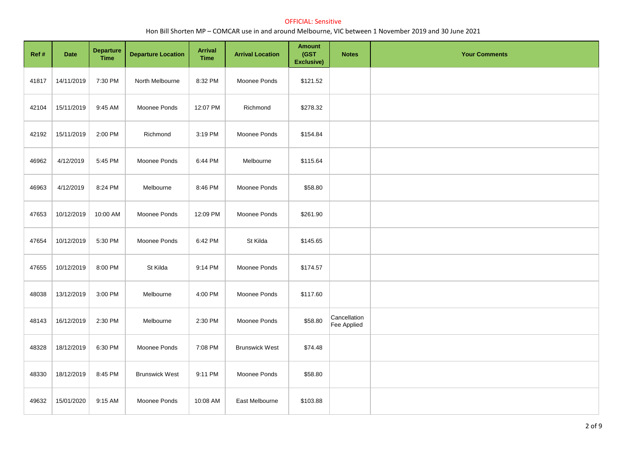| Ref # | Date       | <b>Departure</b><br><b>Time</b> | <b>Departure Location</b> | Arrival<br><b>Time</b> | <b>Arrival Location</b> | <b>Amount</b><br>(GST<br>Exclusive) | <b>Notes</b>                | <b>Your Comments</b> |
|-------|------------|---------------------------------|---------------------------|------------------------|-------------------------|-------------------------------------|-----------------------------|----------------------|
| 41817 | 14/11/2019 | 7:30 PM                         | North Melbourne           | 8:32 PM                | Moonee Ponds            | \$121.52                            |                             |                      |
| 42104 | 15/11/2019 | 9:45 AM                         | Moonee Ponds              | 12:07 PM               | Richmond                | \$278.32                            |                             |                      |
| 42192 | 15/11/2019 | 2:00 PM                         | Richmond                  | 3:19 PM                | Moonee Ponds            | \$154.84                            |                             |                      |
| 46962 | 4/12/2019  | 5:45 PM                         | Moonee Ponds              | 6:44 PM                | Melbourne               | \$115.64                            |                             |                      |
| 46963 | 4/12/2019  | 8:24 PM                         | Melbourne                 | 8:46 PM                | Moonee Ponds            | \$58.80                             |                             |                      |
| 47653 | 10/12/2019 | 10:00 AM                        | Moonee Ponds              | 12:09 PM               | Moonee Ponds            | \$261.90                            |                             |                      |
| 47654 | 10/12/2019 | 5:30 PM                         | Moonee Ponds              | 6:42 PM                | St Kilda                | \$145.65                            |                             |                      |
| 47655 | 10/12/2019 | 8:00 PM                         | St Kilda                  | 9:14 PM                | Moonee Ponds            | \$174.57                            |                             |                      |
| 48038 | 13/12/2019 | 3:00 PM                         | Melbourne                 | 4:00 PM                | Moonee Ponds            | \$117.60                            |                             |                      |
| 48143 | 16/12/2019 | 2:30 PM                         | Melbourne                 | 2:30 PM                | Moonee Ponds            | \$58.80                             | Cancellation<br>Fee Applied |                      |
| 48328 | 18/12/2019 | 6:30 PM                         | Moonee Ponds              | 7:08 PM                | <b>Brunswick West</b>   | \$74.48                             |                             |                      |
| 48330 | 18/12/2019 | 8:45 PM                         | <b>Brunswick West</b>     | 9:11 PM                | Moonee Ponds            | \$58.80                             |                             |                      |
| 49632 | 15/01/2020 | 9:15 AM                         | Moonee Ponds              | 10:08 AM               | East Melbourne          | \$103.88                            |                             |                      |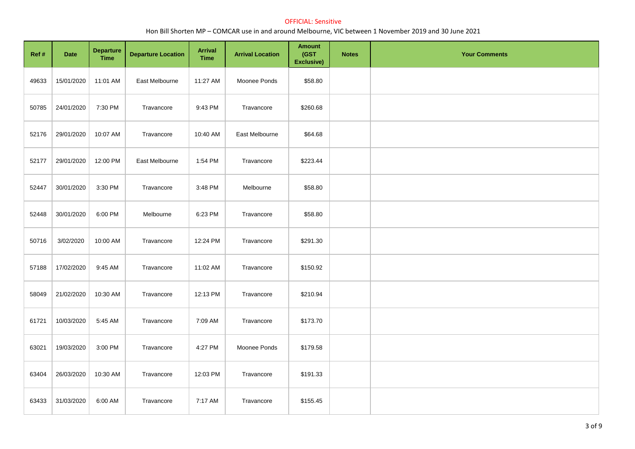| Ref # | Date       | <b>Departure</b><br><b>Time</b> | <b>Departure Location</b> | <b>Arrival</b><br><b>Time</b> | <b>Arrival Location</b> | <b>Amount</b><br>(GST<br>Exclusive) | <b>Notes</b> | <b>Your Comments</b> |
|-------|------------|---------------------------------|---------------------------|-------------------------------|-------------------------|-------------------------------------|--------------|----------------------|
| 49633 | 15/01/2020 | 11:01 AM                        | East Melbourne            | 11:27 AM                      | Moonee Ponds            | \$58.80                             |              |                      |
| 50785 | 24/01/2020 | 7:30 PM                         | Travancore                | 9:43 PM                       | Travancore              | \$260.68                            |              |                      |
| 52176 | 29/01/2020 | 10:07 AM                        | Travancore                | 10:40 AM                      | East Melbourne          | \$64.68                             |              |                      |
| 52177 | 29/01/2020 | 12:00 PM                        | East Melbourne            | 1:54 PM                       | Travancore              | \$223.44                            |              |                      |
| 52447 | 30/01/2020 | 3:30 PM                         | Travancore                | 3:48 PM                       | Melbourne               | \$58.80                             |              |                      |
| 52448 | 30/01/2020 | 6:00 PM                         | Melbourne                 | 6:23 PM                       | Travancore              | \$58.80                             |              |                      |
| 50716 | 3/02/2020  | 10:00 AM                        | Travancore                | 12:24 PM                      | Travancore              | \$291.30                            |              |                      |
| 57188 | 17/02/2020 | 9:45 AM                         | Travancore                | 11:02 AM                      | Travancore              | \$150.92                            |              |                      |
| 58049 | 21/02/2020 | 10:30 AM                        | Travancore                | 12:13 PM                      | Travancore              | \$210.94                            |              |                      |
| 61721 | 10/03/2020 | 5:45 AM                         | Travancore                | 7:09 AM                       | Travancore              | \$173.70                            |              |                      |
| 63021 | 19/03/2020 | 3:00 PM                         | Travancore                | 4:27 PM                       | Moonee Ponds            | \$179.58                            |              |                      |
| 63404 | 26/03/2020 | 10:30 AM                        | Travancore                | 12:03 PM                      | Travancore              | \$191.33                            |              |                      |
| 63433 | 31/03/2020 | 6:00 AM                         | Travancore                | 7:17 AM                       | Travancore              | \$155.45                            |              |                      |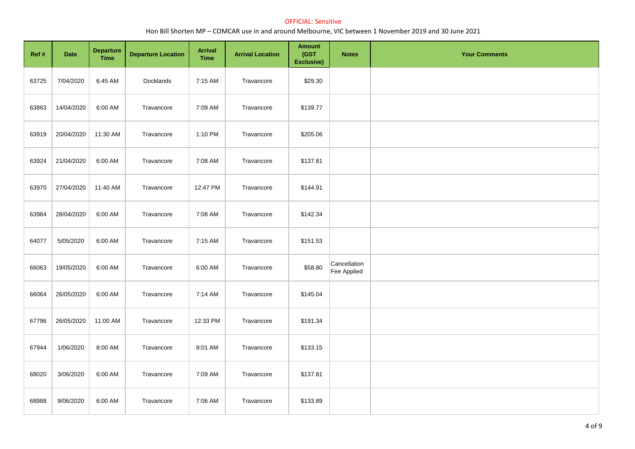| Ref # | Date       | <b>Departure</b><br><b>Time</b> | <b>Departure Location</b> | <b>Arrival</b><br><b>Time</b> | <b>Arrival Location</b> | <b>Amount</b><br>(GST<br>Exclusive) | <b>Notes</b>                | <b>Your Comments</b> |
|-------|------------|---------------------------------|---------------------------|-------------------------------|-------------------------|-------------------------------------|-----------------------------|----------------------|
| 63725 | 7/04/2020  | 6:45 AM                         | Docklands                 | 7:15 AM                       | Travancore              | \$29.30                             |                             |                      |
| 63863 | 14/04/2020 | 6:00 AM                         | Travancore                | 7:09 AM                       | Travancore              | \$139.77                            |                             |                      |
| 63919 | 20/04/2020 | 11:30 AM                        | Travancore                | 1:10 PM                       | Travancore              | \$205.06                            |                             |                      |
| 63924 | 21/04/2020 | 6:00 AM                         | Travancore                | 7:08 AM                       | Travancore              | \$137.81                            |                             |                      |
| 63970 | 27/04/2020 | 11:40 AM                        | Travancore                | 12:47 PM                      | Travancore              | \$144.91                            |                             |                      |
| 63984 | 28/04/2020 | 6:00 AM                         | Travancore                | 7:08 AM                       | Travancore              | \$142.34                            |                             |                      |
| 64077 | 5/05/2020  | 6:00 AM                         | Travancore                | 7:15 AM                       | Travancore              | \$151.53                            |                             |                      |
| 66063 | 19/05/2020 | 6:00 AM                         | Travancore                | 6:00 AM                       | Travancore              | \$58.80                             | Cancellation<br>Fee Applied |                      |
| 66064 | 26/05/2020 | 6:00 AM                         | Travancore                | 7:14 AM                       | Travancore              | \$145.04                            |                             |                      |
| 67796 | 26/05/2020 | 11:00 AM                        | Travancore                | 12:33 PM                      | Travancore              | \$191.34                            |                             |                      |
| 67944 | 1/06/2020  | 8:00 AM                         | Travancore                | 9:01 AM                       | Travancore              | \$133.15                            |                             |                      |
| 68020 | 3/06/2020  | 6:00 AM                         | Travancore                | 7:09 AM                       | Travancore              | \$137.81                            |                             |                      |
| 68988 | 9/06/2020  | 6:00 AM                         | Travancore                | 7:06 AM                       | Travancore              | \$133.89                            |                             |                      |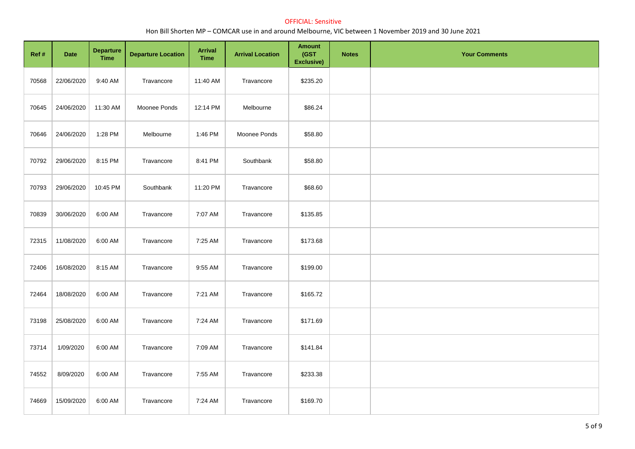| Ref # | Date       | <b>Departure</b><br><b>Time</b> | <b>Departure Location</b> | <b>Arrival</b><br><b>Time</b> | <b>Arrival Location</b> | <b>Amount</b><br>(GST<br>Exclusive) | <b>Notes</b> | <b>Your Comments</b> |
|-------|------------|---------------------------------|---------------------------|-------------------------------|-------------------------|-------------------------------------|--------------|----------------------|
| 70568 | 22/06/2020 | 9:40 AM                         | Travancore                | 11:40 AM                      | Travancore              | \$235.20                            |              |                      |
| 70645 | 24/06/2020 | 11:30 AM                        | Moonee Ponds              | 12:14 PM                      | Melbourne               | \$86.24                             |              |                      |
| 70646 | 24/06/2020 | 1:28 PM                         | Melbourne                 | 1:46 PM                       | Moonee Ponds            | \$58.80                             |              |                      |
| 70792 | 29/06/2020 | 8:15 PM                         | Travancore                | 8:41 PM                       | Southbank               | \$58.80                             |              |                      |
| 70793 | 29/06/2020 | 10:45 PM                        | Southbank                 | 11:20 PM                      | Travancore              | \$68.60                             |              |                      |
| 70839 | 30/06/2020 | 6:00 AM                         | Travancore                | 7:07 AM                       | Travancore              | \$135.85                            |              |                      |
| 72315 | 11/08/2020 | 6:00 AM                         | Travancore                | 7:25 AM                       | Travancore              | \$173.68                            |              |                      |
| 72406 | 16/08/2020 | 8:15 AM                         | Travancore                | 9:55 AM                       | Travancore              | \$199.00                            |              |                      |
| 72464 | 18/08/2020 | 6:00 AM                         | Travancore                | 7:21 AM                       | Travancore              | \$165.72                            |              |                      |
| 73198 | 25/08/2020 | 6:00 AM                         | Travancore                | 7:24 AM                       | Travancore              | \$171.69                            |              |                      |
| 73714 | 1/09/2020  | 6:00 AM                         | Travancore                | 7:09 AM                       | Travancore              | \$141.84                            |              |                      |
| 74552 | 8/09/2020  | 6:00 AM                         | Travancore                | 7:55 AM                       | Travancore              | \$233.38                            |              |                      |
| 74669 | 15/09/2020 | 6:00 AM                         | Travancore                | 7:24 AM                       | Travancore              | \$169.70                            |              |                      |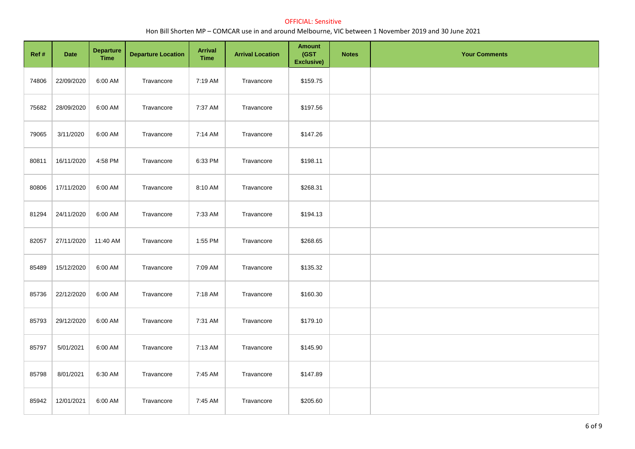| Ref # | Date       | <b>Departure</b><br><b>Time</b> | <b>Departure Location</b> | <b>Arrival</b><br><b>Time</b> | <b>Arrival Location</b> | <b>Amount</b><br>(GST<br>Exclusive) | <b>Notes</b> | <b>Your Comments</b> |
|-------|------------|---------------------------------|---------------------------|-------------------------------|-------------------------|-------------------------------------|--------------|----------------------|
| 74806 | 22/09/2020 | 6:00 AM                         | Travancore                | 7:19 AM                       | Travancore              | \$159.75                            |              |                      |
| 75682 | 28/09/2020 | 6:00 AM                         | Travancore                | 7:37 AM                       | Travancore              | \$197.56                            |              |                      |
| 79065 | 3/11/2020  | 6:00 AM                         | Travancore                | 7:14 AM                       | Travancore              | \$147.26                            |              |                      |
| 80811 | 16/11/2020 | 4:58 PM                         | Travancore                | 6:33 PM                       | Travancore              | \$198.11                            |              |                      |
| 80806 | 17/11/2020 | 6:00 AM                         | Travancore                | 8:10 AM                       | Travancore              | \$268.31                            |              |                      |
| 81294 | 24/11/2020 | 6:00 AM                         | Travancore                | 7:33 AM                       | Travancore              | \$194.13                            |              |                      |
| 82057 | 27/11/2020 | 11:40 AM                        | Travancore                | 1:55 PM                       | Travancore              | \$268.65                            |              |                      |
| 85489 | 15/12/2020 | 6:00 AM                         | Travancore                | 7:09 AM                       | Travancore              | \$135.32                            |              |                      |
| 85736 | 22/12/2020 | 6:00 AM                         | Travancore                | 7:18 AM                       | Travancore              | \$160.30                            |              |                      |
| 85793 | 29/12/2020 | 6:00 AM                         | Travancore                | 7:31 AM                       | Travancore              | \$179.10                            |              |                      |
| 85797 | 5/01/2021  | 6:00 AM                         | Travancore                | 7:13 AM                       | Travancore              | \$145.90                            |              |                      |
| 85798 | 8/01/2021  | 6:30 AM                         | Travancore                | 7:45 AM                       | Travancore              | \$147.89                            |              |                      |
| 85942 | 12/01/2021 | 6:00 AM                         | Travancore                | 7:45 AM                       | Travancore              | \$205.60                            |              |                      |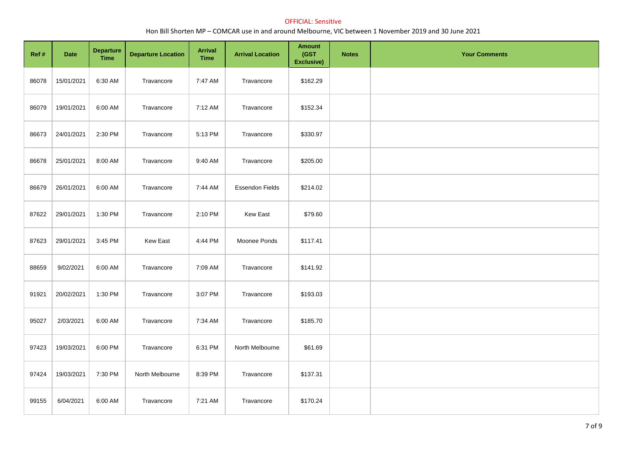| Ref#  | Date       | <b>Departure</b><br><b>Time</b> | <b>Departure Location</b> | <b>Arrival</b><br><b>Time</b> | <b>Arrival Location</b> | <b>Amount</b><br>(GST<br>Exclusive) | <b>Notes</b> | <b>Your Comments</b> |
|-------|------------|---------------------------------|---------------------------|-------------------------------|-------------------------|-------------------------------------|--------------|----------------------|
| 86078 | 15/01/2021 | 6:30 AM                         | Travancore                | 7:47 AM                       | Travancore              | \$162.29                            |              |                      |
| 86079 | 19/01/2021 | 6:00 AM                         | Travancore                | 7:12 AM                       | Travancore              | \$152.34                            |              |                      |
| 86673 | 24/01/2021 | 2:30 PM                         | Travancore                | 5:13 PM                       | Travancore              | \$330.97                            |              |                      |
| 86678 | 25/01/2021 | 8:00 AM                         | Travancore                | 9:40 AM                       | Travancore              | \$205.00                            |              |                      |
| 86679 | 26/01/2021 | 6:00 AM                         | Travancore                | 7:44 AM                       | <b>Essendon Fields</b>  | \$214.02                            |              |                      |
| 87622 | 29/01/2021 | 1:30 PM                         | Travancore                | 2:10 PM                       | <b>Kew East</b>         | \$79.60                             |              |                      |
| 87623 | 29/01/2021 | 3:45 PM                         | <b>Kew East</b>           | 4:44 PM                       | Moonee Ponds            | \$117.41                            |              |                      |
| 88659 | 9/02/2021  | 6:00 AM                         | Travancore                | 7:09 AM                       | Travancore              | \$141.92                            |              |                      |
| 91921 | 20/02/2021 | 1:30 PM                         | Travancore                | 3:07 PM                       | Travancore              | \$193.03                            |              |                      |
| 95027 | 2/03/2021  | 6:00 AM                         | Travancore                | 7:34 AM                       | Travancore              | \$185.70                            |              |                      |
| 97423 | 19/03/2021 | 6:00 PM                         | Travancore                | 6:31 PM                       | North Melbourne         | \$61.69                             |              |                      |
| 97424 | 19/03/2021 | 7:30 PM                         | North Melbourne           | 8:39 PM                       | Travancore              | \$137.31                            |              |                      |
| 99155 | 6/04/2021  | 6:00 AM                         | Travancore                | 7:21 AM                       | Travancore              | \$170.24                            |              |                      |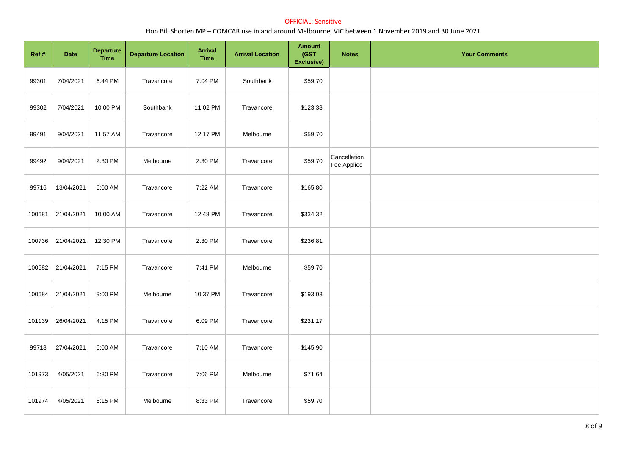| Ref #  | <b>Date</b> | <b>Departure</b><br><b>Time</b> | <b>Departure Location</b> | <b>Arrival</b><br><b>Time</b> | <b>Arrival Location</b> | <b>Amount</b><br>(GST<br>Exclusive) | <b>Notes</b>                | <b>Your Comments</b> |
|--------|-------------|---------------------------------|---------------------------|-------------------------------|-------------------------|-------------------------------------|-----------------------------|----------------------|
| 99301  | 7/04/2021   | 6:44 PM                         | Travancore                | 7:04 PM                       | Southbank               | \$59.70                             |                             |                      |
| 99302  | 7/04/2021   | 10:00 PM                        | Southbank                 | 11:02 PM                      | Travancore              | \$123.38                            |                             |                      |
| 99491  | 9/04/2021   | 11:57 AM                        | Travancore                | 12:17 PM                      | Melbourne               | \$59.70                             |                             |                      |
| 99492  | 9/04/2021   | 2:30 PM                         | Melbourne                 | 2:30 PM                       | Travancore              | \$59.70                             | Cancellation<br>Fee Applied |                      |
| 99716  | 13/04/2021  | 6:00 AM                         | Travancore                | 7:22 AM                       | Travancore              | \$165.80                            |                             |                      |
| 100681 | 21/04/2021  | 10:00 AM                        | Travancore                | 12:48 PM                      | Travancore              | \$334.32                            |                             |                      |
| 100736 | 21/04/2021  | 12:30 PM                        | Travancore                | 2:30 PM                       | Travancore              | \$236.81                            |                             |                      |
| 100682 | 21/04/2021  | 7:15 PM                         | Travancore                | 7:41 PM                       | Melbourne               | \$59.70                             |                             |                      |
| 100684 | 21/04/2021  | 9:00 PM                         | Melbourne                 | 10:37 PM                      | Travancore              | \$193.03                            |                             |                      |
| 101139 | 26/04/2021  | 4:15 PM                         | Travancore                | 6:09 PM                       | Travancore              | \$231.17                            |                             |                      |
| 99718  | 27/04/2021  | 6:00 AM                         | Travancore                | 7:10 AM                       | Travancore              | \$145.90                            |                             |                      |
| 101973 | 4/05/2021   | 6:30 PM                         | Travancore                | 7:06 PM                       | Melbourne               | \$71.64                             |                             |                      |
| 101974 | 4/05/2021   | 8:15 PM                         | Melbourne                 | 8:33 PM                       | Travancore              | \$59.70                             |                             |                      |